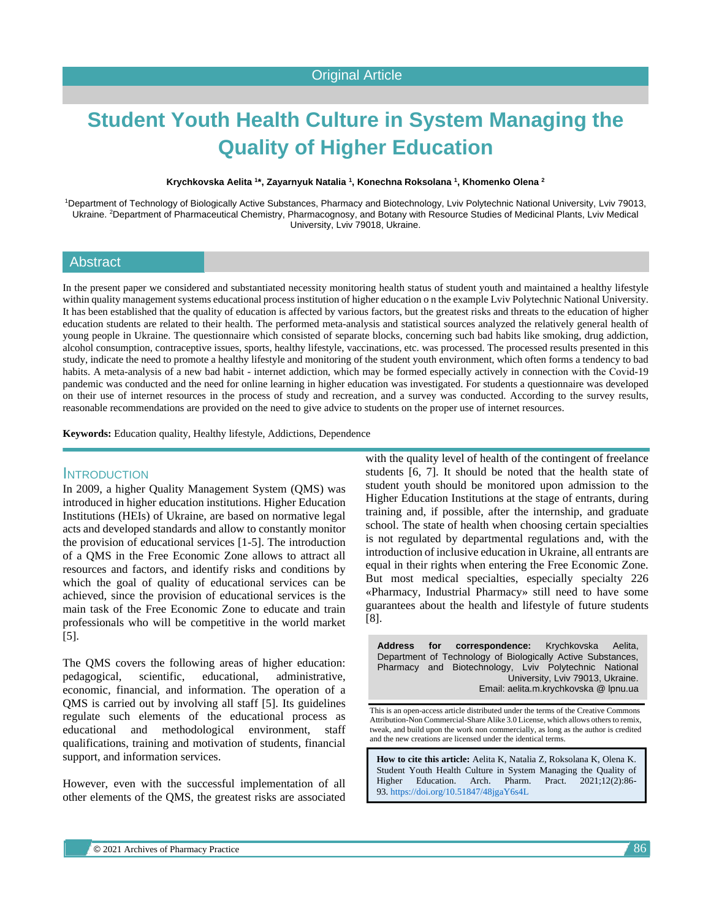# **Student Youth Health Culture in System Managing the Quality of Higher Education**

**Krychkovska Aelita <sup>1</sup> \*, Zayarnyuk Natalia <sup>1</sup> , Konechna Roksolana <sup>1</sup> , Khomenko Olena <sup>2</sup>**

<sup>1</sup>Department of Technology of Biologically Active Substances, Pharmacy and Biotechnology, Lviv Polytechnic National University, Lviv 79013, Ukraine. <sup>2</sup>Department of Pharmaceutical Chemistry, Pharmacognosy, and Botany with Resource Studies of Medicinal Plants, Lviv Medical University, Lviv 79018, Ukraine.

## **Abstract**

In the present paper we considered and substantiated necessity monitoring health status of student youth and maintained a healthy lifestyle within quality management systems educational process institution of higher education o n the example Lviv Polytechnic National University. It has been established that the quality of education is affected by various factors, but the greatest risks and threats to the education of higher education students are related to their health. The performed meta-analysis and statistical sources analyzed the relatively general health of young people in Ukraine. The questionnaire which consisted of separate blocks, concerning such bad habits like smoking, drug addiction, alcohol consumption, contraceptive issues, sports, healthy lifestyle, vaccinations, etc. was processed. The processed results presented in this study, indicate the need to promote a healthy lifestyle and monitoring of the student youth environment, which often forms a tendency to bad habits. A meta-analysis of a new bad habit - internet addiction, which may be formed especially actively in connection with the Covid-19 pandemic was conducted and the need for online learning in higher education was investigated. For students a questionnaire was developed on their use of internet resources in the process of study and recreation, and a survey was conducted. According to the survey results, reasonable recommendations are provided on the need to give advice to students on the proper use of internet resources.

**Keywords:** Education quality, Healthy lifestyle, Addictions, Dependence

#### **INTRODUCTION**

In 2009, a higher Quality Management System (QMS) was introduced in higher education institutions. Higher Education Institutions (HEIs) of Ukraine, are based on normative legal acts and developed standards and allow to constantly monitor the provision of educational services [1-5]. The introduction of a QMS in the Free Economic Zone allows to attract all resources and factors, and identify risks and conditions by which the goal of quality of educational services can be achieved, since the provision of educational services is the main task of the Free Economic Zone to educate and train professionals who will be competitive in the world market [5].

The QMS covers the following areas of higher education: pedagogical, scientific, educational, administrative, economic, financial, and information. The operation of a QMS is carried out by involving all staff [5]. Its guidelines regulate such elements of the educational process as educational and methodological environment, staff qualifications, training and motivation of students, financial support, and information services.

However, even with the successful implementation of all other elements of the QMS, the greatest risks are associated

with the quality level of health of the contingent of freelance students [6, 7]. It should be noted that the health state of student youth should be monitored upon admission to the Higher Education Institutions at the stage of entrants, during training and, if possible, after the internship, and graduate school. The state of health when choosing certain specialties is not regulated by departmental regulations and, with the introduction of inclusive education in Ukraine, all entrants are equal in their rights when entering the Free Economic Zone. But most medical specialties, especially specialty 226 «Pharmacy, Industrial Pharmacy» still need to have some guarantees about the health and lifestyle of future students [8].

**Address for correspondence:** Krychkovska Aelita, Department of Technology of Biologically Active Substances, Pharmacy and Biotechnology, Lviv Polytechnic National University, Lviv 79013, Ukraine. Email: aelita.m.krychkovska @ lpnu.ua

This is an open-access article distributed under the terms of the Creative Commons Attribution-Non Commercial-Share Alike 3.0 License, which allows others to remix, tweak, and build upon the work non commercially, as long as the author is credited and the new creations are licensed under the identical terms.

**How to cite this article:** Aelita K, Natalia Z, Roksolana K, Olena K. Student Youth Health Culture in System Managing the Quality of Higher Education. Arch. Pharm. Pract. 2021;12(2):86- 93. <https://doi.org/10.51847/48jgaY6s4L>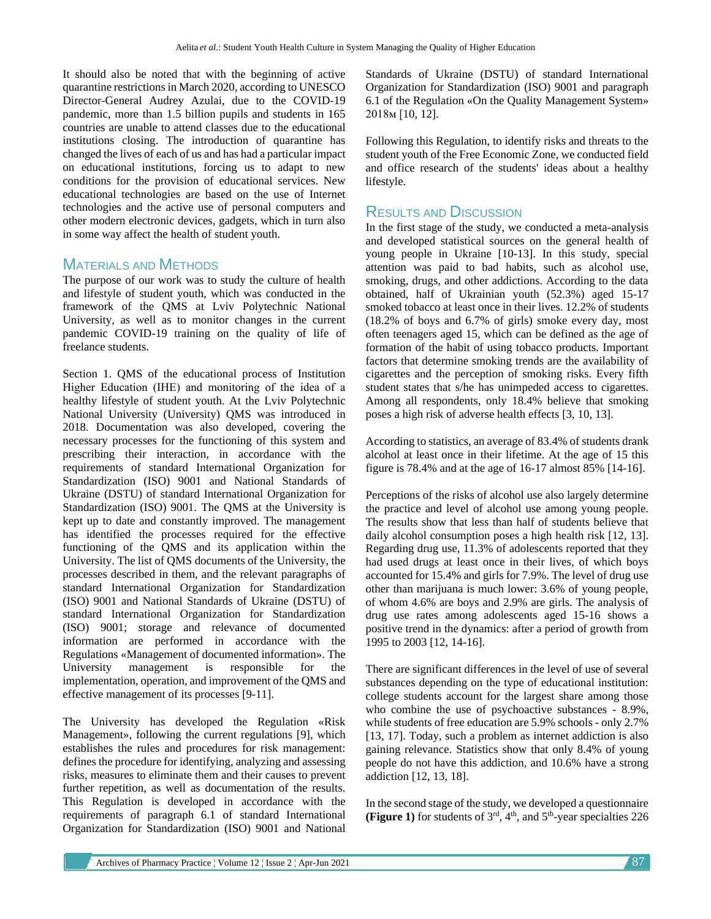It should also be noted that with the beginning of active quarantine restrictions in March 2020, according to UNESCO Director-General Audrey Azulai, due to the COVID-19 pandemic, more than 1.5 billion pupils and students in 165 countries are unable to attend classes due to the educational institutions closing. The introduction of quarantine has changed the lives of each of us and has had a particular impact on educational institutions, forcing us to adapt to new conditions for the provision of educational services. New educational technologies are based on the use of Internet technologies and the active use of personal computers and other modern electronic devices, gadgets, which in turn also in some way affect the health of student youth.

## MATERIALS AND METHODS

The purpose of our work was to study the culture of health and lifestyle of student youth, which was conducted in the framework of the QMS at Lviv Polytechnic National University, as well as to monitor changes in the current pandemic COVID-19 training on the quality of life of freelance students.

Section 1. QMS of the educational process of Institution Higher Education (ІНЕ) and monitoring of the idea of a healthy lifestyle of student youth. At the Lviv Polytechnic National University (University) QMS was introduced in 2018. Documentation was also developed, covering the necessary processes for the functioning of this system and prescribing their interaction, in accordance with the requirements of standard International Organization for Standardization (ISO) 9001 and National Standards of Ukraine (DSTU) of standard International Organization for Standardization (ISO) 9001. The QMS at the University is kept up to date and constantly improved. The management has identified the processes required for the effective functioning of the QMS and its application within the University. The list of QMS documents of the University, the processes described in them, and the relevant paragraphs of standard International Organization for Standardization (ISO) 9001 and National Standards of Ukraine (DSTU) of standard International Organization for Standardization (ISO) 9001; storage and relevance of documented information are performed in accordance with the Regulations «Management of documented information». The University management is responsible for the implementation, operation, and improvement of the QMS and effective management of its processes [9-11].

The University has developed the Regulation «Risk Management», following the current regulations [9], which establishes the rules and procedures for risk management: defines the procedure for identifying, analyzing and assessing risks, measures to eliminate them and their causes to prevent further repetition, as well as documentation of the results. This Regulation is developed in accordance with the requirements of paragraph 6.1 of standard International Organization for Standardization (ISO) 9001 and National

Standards of Ukraine (DSTU) of standard International Organization for Standardization (ISO) 9001 and paragraph 6.1 of the Regulation «On the Quality Management System» 2018м [10, 12].

Following this Regulation, to identify risks and threats to the student youth of the Free Economic Zone, we conducted field and office research of the students' ideas about a healthy lifestyle.

## RESULTS AND DISCUSSION

In the first stage of the study, we conducted a meta-analysis and developed statistical sources on the general health of young people in Ukraine [10-13]. In this study, special attention was paid to bad habits, such as alcohol use, smoking, drugs, and other addictions. According to the data obtained, half of Ukrainian youth (52.3%) aged 15-17 smoked tobacco at least once in their lives. 12.2% of students (18.2% of boys and 6.7% of girls) smoke every day, most often teenagers aged 15, which can be defined as the age of formation of the habit of using tobacco products. Important factors that determine smoking trends are the availability of cigarettes and the perception of smoking risks. Every fifth student states that s/he has unimpeded access to cigarettes. Among all respondents, only 18.4% believe that smoking poses a high risk of adverse health effects [3, 10, 13].

According to statistics, an average of 83.4% of students drank alcohol at least once in their lifetime. At the age of 15 this figure is 78.4% and at the age of 16-17 almost 85% [14-16].

Perceptions of the risks of alcohol use also largely determine the practice and level of alcohol use among young people. The results show that less than half of students believe that daily alcohol consumption poses a high health risk [12, 13]. Regarding drug use, 11.3% of adolescents reported that they had used drugs at least once in their lives, of which boys accounted for 15.4% and girls for 7.9%. The level of drug use other than marijuana is much lower: 3.6% of young people, of whom 4.6% are boys and 2.9% are girls. The analysis of drug use rates among adolescents aged 15-16 shows a positive trend in the dynamics: after a period of growth from 1995 to 2003 [12, 14-16].

There are significant differences in the level of use of several substances depending on the type of educational institution: college students account for the largest share among those who combine the use of psychoactive substances - 8.9%, while students of free education are 5.9% schools - only 2.7% [13, 17]. Today, such a problem as internet addiction is also gaining relevance. Statistics show that only 8.4% of young people do not have this addiction, and 10.6% have a strong addiction [12, 13, 18].

In the second stage of the study, we developed a questionnaire **(Figure 1)** for students of  $3<sup>rd</sup>$ ,  $4<sup>th</sup>$ , and  $5<sup>th</sup>$ -year specialties 226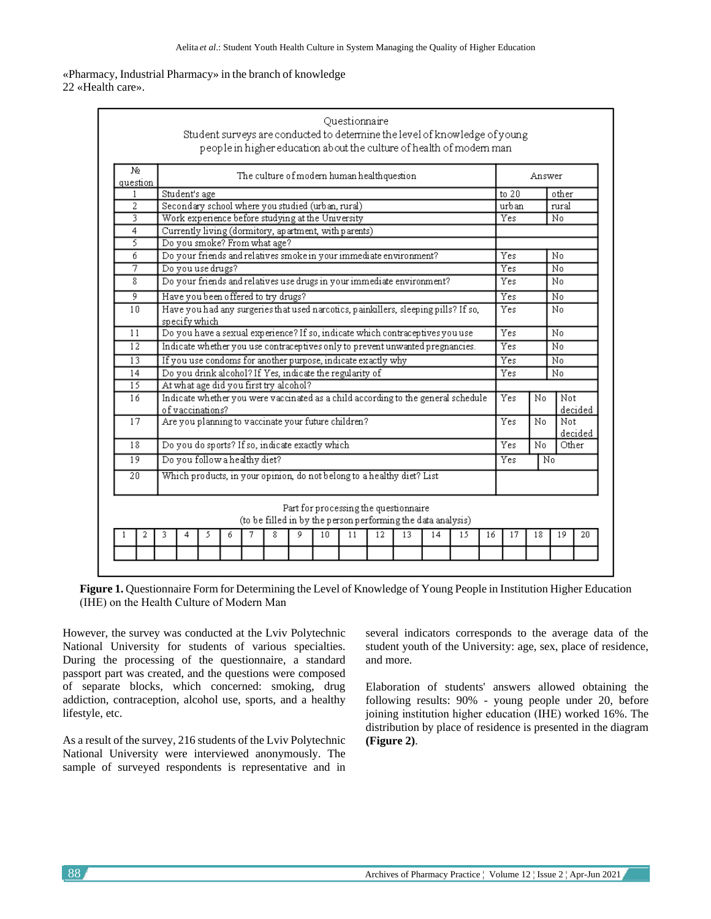«Pharmacy, Industrial Pharmacy» in the branch of knowledge

22 «Health care».

| No<br>question  |                                                                                                       | The culture of modern human healthquestion                             |   |   |   |   |                                        |     | Answer     |       |                                                                    |       |         |    |    |    |  |    |
|-----------------|-------------------------------------------------------------------------------------------------------|------------------------------------------------------------------------|---|---|---|---|----------------------------------------|-----|------------|-------|--------------------------------------------------------------------|-------|---------|----|----|----|--|----|
| 1               |                                                                                                       | Student's age                                                          |   |   |   |   |                                        |     |            | to 20 |                                                                    | other |         |    |    |    |  |    |
| 2               |                                                                                                       | Secondary school where you studied (urban, rural)                      |   |   |   |   |                                        |     |            | urban |                                                                    | rural |         |    |    |    |  |    |
| 3.              |                                                                                                       | Work experience before studying at the University                      |   |   |   |   |                                        |     |            |       | Yes                                                                |       | No      |    |    |    |  |    |
| 4               | Currently living (dormitory, apartment, with parents)                                                 |                                                                        |   |   |   |   |                                        |     |            |       |                                                                    |       |         |    |    |    |  |    |
| 3               |                                                                                                       | Do you smoke? From what age?                                           |   |   |   |   |                                        |     |            |       |                                                                    |       |         |    |    |    |  |    |
| б               |                                                                                                       | Do your friends and relatives smoke in your immediate environment?     |   |   |   |   |                                        |     |            | Yes   |                                                                    | No    |         |    |    |    |  |    |
| 7               |                                                                                                       | Do you use drugs?                                                      |   |   |   |   |                                        |     |            |       | Yes                                                                |       | No      |    |    |    |  |    |
| 8               |                                                                                                       | Do your friends and relatives use drugs in your immediate environment? |   |   |   |   |                                        |     | <b>Yes</b> |       | No                                                                 |       |         |    |    |    |  |    |
| 9               |                                                                                                       | Have you been offered to try drugs?                                    |   |   |   |   |                                        |     | Yes        |       | No                                                                 |       |         |    |    |    |  |    |
| 10              | Have you had any surgeries that used narcotics, painkillers, sleeping pills? If so,<br>specify which  |                                                                        |   |   |   |   |                                        |     | Yes        |       | No                                                                 |       |         |    |    |    |  |    |
| 11              | Do you have a sexual experience? If so, indicate which contraceptives you use                         |                                                                        |   |   |   |   |                                        |     | Yes        |       | No                                                                 |       |         |    |    |    |  |    |
| $\overline{12}$ | Indicate whether you use contraceptives only to prevent unwanted pregnancies.                         |                                                                        |   |   |   |   |                                        |     |            | Yes   |                                                                    | Nο    |         |    |    |    |  |    |
| $\overline{13}$ | If you use condoms for another purpose, indicate exactly why                                          |                                                                        |   |   |   |   |                                        |     |            | Yes   |                                                                    | No    |         |    |    |    |  |    |
| 14              | Do you drink alcohol? If Yes, indicate the regularity of                                              |                                                                        |   |   |   |   |                                        |     |            | Yes   |                                                                    | No    |         |    |    |    |  |    |
| 15              |                                                                                                       |                                                                        |   |   |   |   | At what age did you first try alcohol? |     |            |       |                                                                    |       |         |    |    |    |  |    |
| 16              | Indicate whether you were vaccinated as a child according to the general schedule<br>of vaccinations? |                                                                        |   |   |   |   |                                        | Yes | No         | Not.  | decided                                                            |       |         |    |    |    |  |    |
| 17              |                                                                                                       | Are you planning to vaccinate your future children?                    |   |   |   |   |                                        |     |            | Yes   | No.                                                                | Not.  | decided |    |    |    |  |    |
| 18              |                                                                                                       | Do you do sports? If so, indicate exactly which                        |   |   |   |   |                                        |     |            | Yes   | No.                                                                |       | Other   |    |    |    |  |    |
| $\overline{19}$ |                                                                                                       | Do you follow a healthy diet?                                          |   |   |   |   |                                        |     |            | Yes   | No                                                                 |       |         |    |    |    |  |    |
| 20              |                                                                                                       | Which products, in your opinion, do not belong to a healthy diet? List |   |   |   |   |                                        |     |            |       |                                                                    |       |         |    |    |    |  |    |
|                 |                                                                                                       |                                                                        |   |   |   |   |                                        |     |            |       | Part for processing the questionnaire                              |       |         |    |    |    |  |    |
| 2               | 3                                                                                                     | 4                                                                      | 5 | 6 | 7 | 8 | 9                                      | 10  | 11         | 12    | (to be filled in by the person performing the data analysis)<br>13 | 14    | 15      | 16 | 17 | 18 |  | 19 |

**Figure 1.** Questionnaire Form for Determining the Level of Knowledge of Young People in Institution Higher Education (ІНЕ) on the Health Culture of Modern Man

However, the survey was conducted at the Lviv Polytechnic National University for students of various specialties. During the processing of the questionnaire, a standard passport part was created, and the questions were composed of separate blocks, which concerned: smoking, drug addiction, contraception, alcohol use, sports, and a healthy lifestyle, etc.

As a result of the survey, 216 students of the Lviv Polytechnic National University were interviewed anonymously. The sample of surveyed respondents is representative and in several indicators corresponds to the average data of the student youth of the University: age, sex, place of residence, and more.

Elaboration of students' answers allowed obtaining the following results: 90% - young people under 20, before joining institution higher education (ІНЕ) worked 16%. The distribution by place of residence is presented in the diagram **(Figure 2)**.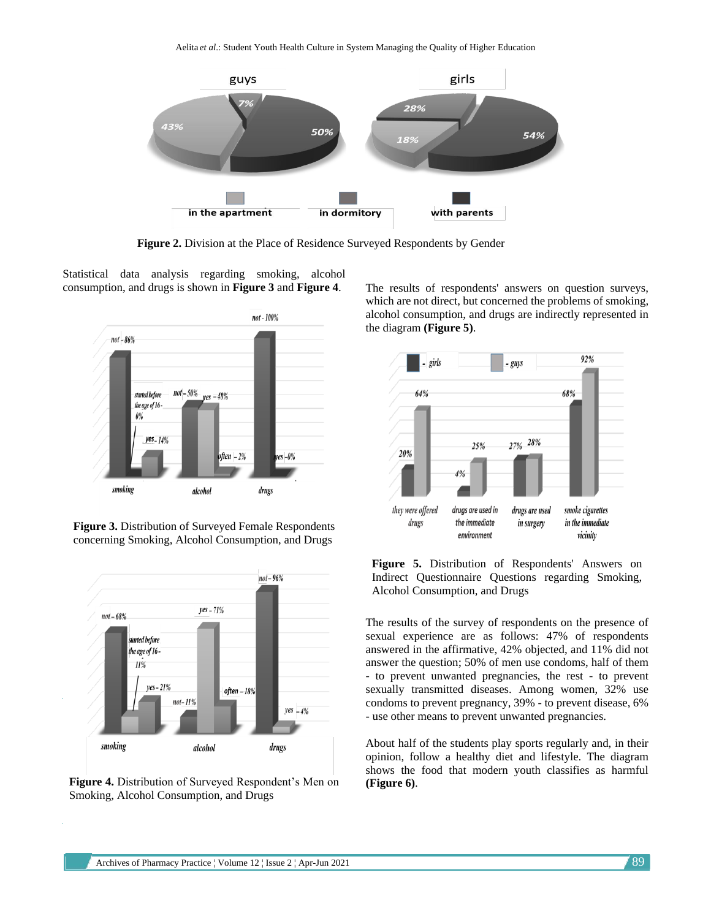Aelita *et al*.: Student Youth Health Culture in System Managing the Quality of Higher Education



**Figure 2.** Division at the Place of Residence Surveyed Respondents by Gender

Statistical data analysis regarding smoking, alcohol consumption, and drugs is shown in **Figure 3** and **Figure 4**.



**Figure 3.** Distribution of Surveyed Female Respondents concerning Smoking, Alcohol Consumption, and Drugs



**Figure 4.** Distribution of Surveyed Respondent's Men on Smoking, Alcohol Consumption, and Drugs

The results of respondents' answers on question surveys, which are not direct, but concerned the problems of smoking, alcohol consumption, and drugs are indirectly represented in the diagram **(Figure 5)**.



**Figure 5.** Distribution of Respondents' Answers on Indirect Questionnaire Questions regarding Smoking, Alcohol Consumption, and Drugs

The results of the survey of respondents on the presence of sexual experience are as follows: 47% of respondents answered in the affirmative, 42% objected, and 11% did not answer the question; 50% of men use condoms, half of them - to prevent unwanted pregnancies, the rest - to prevent sexually transmitted diseases. Among women, 32% use condoms to prevent pregnancy, 39% - to prevent disease, 6% - use other means to prevent unwanted pregnancies.

About half of the students play sports regularly and, in their opinion, follow a healthy diet and lifestyle. The diagram shows the food that modern youth classifies as harmful **(Figure 6)**.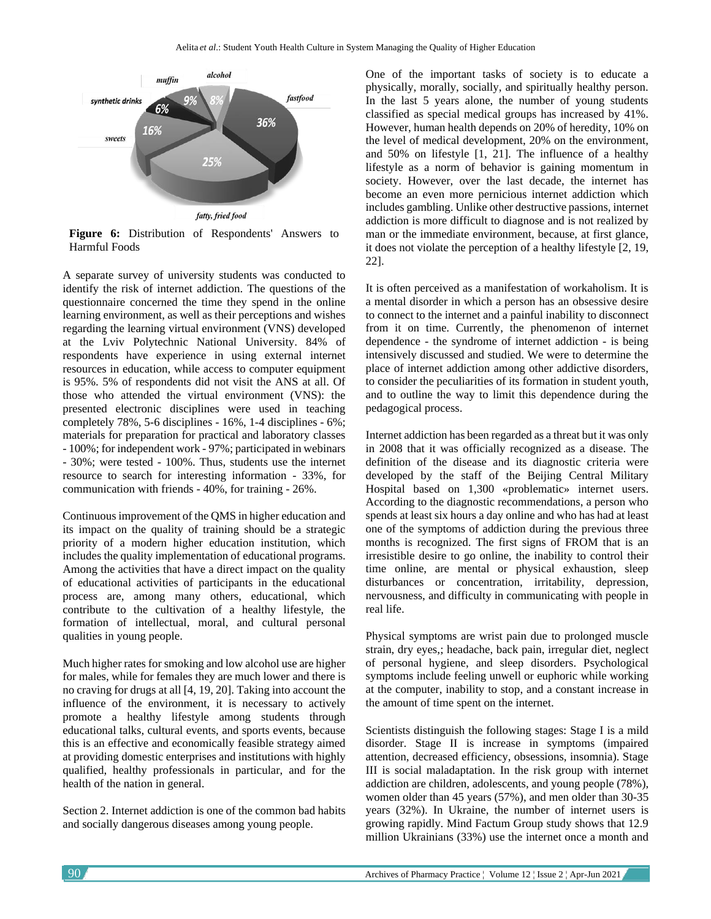

**Figure 6:** Distribution of Respondents' Answers to Harmful Foods

A separate survey of university students was conducted to identify the risk of internet addiction. The questions of the questionnaire concerned the time they spend in the online learning environment, as well as their perceptions and wishes regarding the learning virtual environment (VNS) developed at the Lviv Polytechnic National University. 84% of respondents have experience in using external internet resources in education, while access to computer equipment is 95%. 5% of respondents did not visit the ANS at all. Of those who attended the virtual environment (VNS): the presented electronic disciplines were used in teaching completely 78%, 5-6 disciplines - 16%, 1-4 disciplines - 6%; materials for preparation for practical and laboratory classes - 100%; for independent work - 97%; participated in webinars - 30%; were tested - 100%. Thus, students use the internet resource to search for interesting information - 33%, for communication with friends - 40%, for training - 26%.

Continuous improvement of the QMS in higher education and its impact on the quality of training should be a strategic priority of a modern higher education institution, which includes the quality implementation of educational programs. Among the activities that have a direct impact on the quality of educational activities of participants in the educational process are, among many others, educational, which contribute to the cultivation of a healthy lifestyle, the formation of intellectual, moral, and cultural personal qualities in young people.

Much higher rates for smoking and low alcohol use are higher for males, while for females they are much lower and there is no craving for drugs at all [4, 19, 20]. Taking into account the influence of the environment, it is necessary to actively promote a healthy lifestyle among students through educational talks, cultural events, and sports events, because this is an effective and economically feasible strategy aimed at providing domestic enterprises and institutions with highly qualified, healthy professionals in particular, and for the health of the nation in general.

Section 2. Internet addiction is one of the common bad habits and socially dangerous diseases among young people.

One of the important tasks of society is to educate a physically, morally, socially, and spiritually healthy person. In the last 5 years alone, the number of young students classified as special medical groups has increased by 41%. However, human health depends on 20% of heredity, 10% on the level of medical development, 20% on the environment, and 50% on lifestyle [1, 21]. The influence of a healthy lifestyle as a norm of behavior is gaining momentum in society. However, over the last decade, the internet has become an even more pernicious internet addiction which includes gambling. Unlike other destructive passions, internet addiction is more difficult to diagnose and is not realized by man or the immediate environment, because, at first glance, it does not violate the perception of a healthy lifestyle [2, 19, 22].

It is often perceived as a manifestation of workaholism. It is a mental disorder in which a person has an obsessive desire to connect to the internet and a painful inability to disconnect from it on time. Currently, the phenomenon of internet dependence - the syndrome of internet addiction - is being intensively discussed and studied. We were to determine the place of internet addiction among other addictive disorders, to consider the peculiarities of its formation in student youth, and to outline the way to limit this dependence during the pedagogical process.

Internet addiction has been regarded as a threat but it was only in 2008 that it was officially recognized as a disease. The definition of the disease and its diagnostic criteria were developed by the staff of the Beijing Central Military Hospital based on 1,300 «problematic» internet users. According to the diagnostic recommendations, a person who spends at least six hours a day online and who has had at least one of the symptoms of addiction during the previous three months is recognized. The first signs of FROM that is an irresistible desire to go online, the inability to control their time online, are mental or physical exhaustion, sleep disturbances or concentration, irritability, depression, nervousness, and difficulty in communicating with people in real life.

Physical symptoms are wrist pain due to prolonged muscle strain, dry eyes,; headache, back pain, irregular diet, neglect of personal hygiene, and sleep disorders. Psychological symptoms include feeling unwell or euphoric while working at the computer, inability to stop, and a constant increase in the amount of time spent on the internet.

Scientists distinguish the following stages: Stage I is a mild disorder. Stage II is increase in symptoms (impaired attention, decreased efficiency, obsessions, insomnia). Stage III is social maladaptation. In the risk group with internet addiction are children, adolescents, and young people (78%), women older than 45 years (57%), and men older than 30-35 years (32%). In Ukraine, the number of internet users is growing rapidly. Mind Factum Group study shows that 12.9 million Ukrainians (33%) use the internet once a month and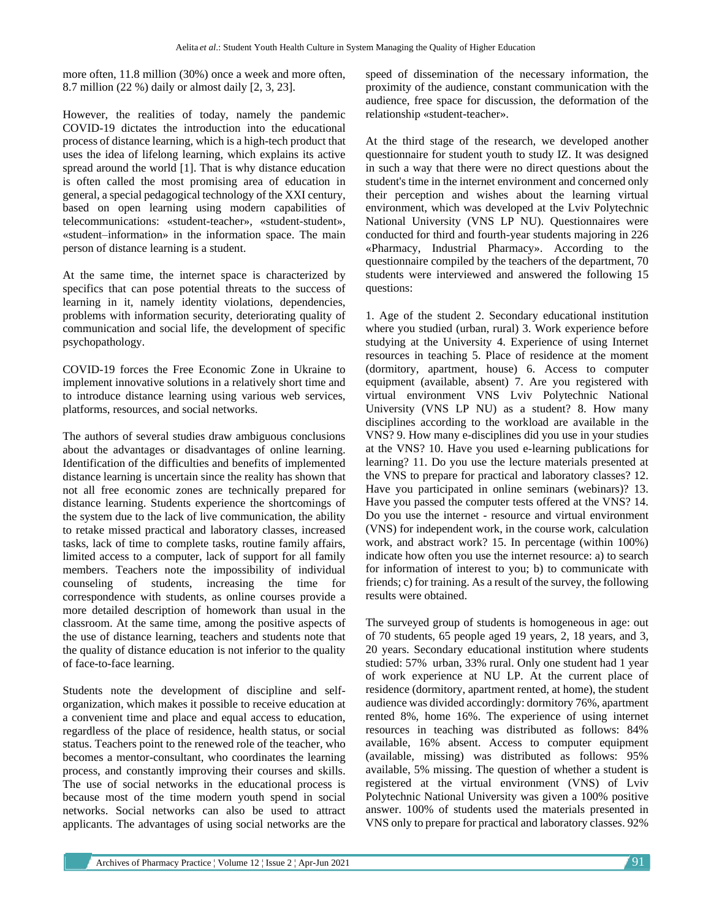more often, 11.8 million (30%) once a week and more often, 8.7 million (22 %) daily or almost daily [2, 3, 23].

However, the realities of today, namely the pandemic COVID-19 dictates the introduction into the educational process of distance learning, which is a high-tech product that uses the idea of lifelong learning, which explains its active spread around the world [1]. That is why distance education is often called the most promising area of education in general, a special pedagogical technology of the XXI century, based on open learning using modern capabilities of telecommunications: «student-teacher», «student-student», «student–information» in the information space. The main person of distance learning is a student.

At the same time, the internet space is characterized by specifics that can pose potential threats to the success of learning in it, namely identity violations, dependencies, problems with information security, deteriorating quality of communication and social life, the development of specific psychopathology.

COVID-19 forces the Free Economic Zone in Ukraine to implement innovative solutions in a relatively short time and to introduce distance learning using various web services, platforms, resources, and social networks.

The authors of several studies draw ambiguous conclusions about the advantages or disadvantages of online learning. Identification of the difficulties and benefits of implemented distance learning is uncertain since the reality has shown that not all free economic zones are technically prepared for distance learning. Students experience the shortcomings of the system due to the lack of live communication, the ability to retake missed practical and laboratory classes, increased tasks, lack of time to complete tasks, routine family affairs, limited access to a computer, lack of support for all family members. Teachers note the impossibility of individual counseling of students, increasing the time for correspondence with students, as online courses provide a more detailed description of homework than usual in the classroom. At the same time, among the positive aspects of the use of distance learning, teachers and students note that the quality of distance education is not inferior to the quality of face-to-face learning.

Students note the development of discipline and selforganization, which makes it possible to receive education at a convenient time and place and equal access to education, regardless of the place of residence, health status, or social status. Teachers point to the renewed role of the teacher, who becomes a mentor-consultant, who coordinates the learning process, and constantly improving their courses and skills. The use of social networks in the educational process is because most of the time modern youth spend in social networks. Social networks can also be used to attract applicants. The advantages of using social networks are the

speed of dissemination of the necessary information, the proximity of the audience, constant communication with the audience, free space for discussion, the deformation of the relationship «student-teacher».

At the third stage of the research, we developed another questionnaire for student youth to study IZ. It was designed in such a way that there were no direct questions about the student's time in the internet environment and concerned only their perception and wishes about the learning virtual environment, which was developed at the Lviv Polytechnic National University (VNS LP NU). Questionnaires were conducted for third and fourth-year students majoring in 226 «Pharmacy, Industrial Pharmacy». According to the questionnaire compiled by the teachers of the department, 70 students were interviewed and answered the following 15 questions:

1. Age of the student 2. Secondary educational institution where you studied (urban, rural) 3. Work experience before studying at the University 4. Experience of using Internet resources in teaching 5. Place of residence at the moment (dormitory, apartment, house) 6. Access to computer equipment (available, absent) 7. Are you registered with virtual environment VNS Lviv Polytechnic National University (VNS LP NU) as a student? 8. How many disciplines according to the workload are available in the VNS? 9. How many e-disciplines did you use in your studies at the VNS? 10. Have you used e-learning publications for learning? 11. Do you use the lecture materials presented at the VNS to prepare for practical and laboratory classes? 12. Have you participated in online seminars (webinars)? 13. Have you passed the computer tests offered at the VNS? 14. Do you use the internet - resource and virtual environment (VNS) for independent work, in the course work, calculation work, and abstract work? 15. In percentage (within 100%) indicate how often you use the internet resource: a) to search for information of interest to you; b) to communicate with friends; c) for training. As a result of the survey, the following results were obtained.

The surveyed group of students is homogeneous in age: out of 70 students, 65 people aged 19 years, 2, 18 years, and 3, 20 years. Secondary educational institution where students studied: 57% urban, 33% rural. Only one student had 1 year of work experience at NU LP. At the current place of residence (dormitory, apartment rented, at home), the student audience was divided accordingly: dormitory 76%, apartment rented 8%, home 16%. The experience of using internet resources in teaching was distributed as follows: 84% available, 16% absent. Access to computer equipment (available, missing) was distributed as follows: 95% available, 5% missing. The question of whether a student is registered at the virtual environment (VNS) of Lviv Polytechnic National University was given a 100% positive answer. 100% of students used the materials presented in VNS only to prepare for practical and laboratory classes. 92%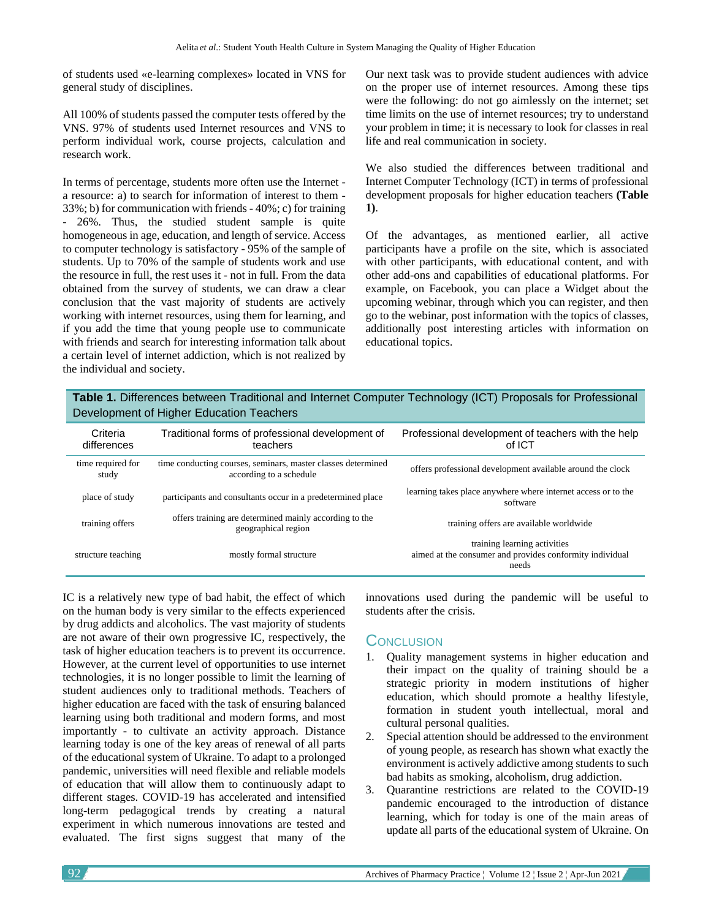of students used «e-learning complexes» located in VNS for general study of disciplines.

All 100% of students passed the computer tests offered by the VNS. 97% of students used Internet resources and VNS to perform individual work, course projects, calculation and research work.

In terms of percentage, students more often use the Internet a resource: a) to search for information of interest to them - 33%; b) for communication with friends - 40%; c) for training - 26%. Thus, the studied student sample is quite homogeneous in age, education, and length of service. Access to computer technology is satisfactory - 95% of the sample of students. Up to 70% of the sample of students work and use the resource in full, the rest uses it - not in full. From the data obtained from the survey of students, we can draw a clear conclusion that the vast majority of students are actively working with internet resources, using them for learning, and if you add the time that young people use to communicate with friends and search for interesting information talk about a certain level of internet addiction, which is not realized by the individual and society.

Our next task was to provide student audiences with advice on the proper use of internet resources. Among these tips were the following: do not go aimlessly on the internet; set time limits on the use of internet resources; try to understand your problem in time; it is necessary to look for classes in real life and real communication in society.

We also studied the differences between traditional and Internet Computer Technology (ICT) in terms of professional development proposals for higher education teachers **(Table 1)**.

Of the advantages, as mentioned earlier, all active participants have a profile on the site, which is associated with other participants, with educational content, and with other add-ons and capabilities of educational platforms. For example, on Facebook, you can place a Widget about the upcoming webinar, through which you can register, and then go to the webinar, post information with the topics of classes, additionally post interesting articles with information on educational topics.

**Table 1.** Differences between Traditional and Internet Computer Technology (ICT) Proposals for Professional Development of Higher Education Teachers

| Criteria<br>differences    | Traditional forms of professional development of<br>teachers                            | Professional development of teachers with the help<br>of ICT                                      |
|----------------------------|-----------------------------------------------------------------------------------------|---------------------------------------------------------------------------------------------------|
| time required for<br>study | time conducting courses, seminars, master classes determined<br>according to a schedule | offers professional development available around the clock                                        |
| place of study             | participants and consultants occur in a predetermined place                             | learning takes place anywhere where internet access or to the<br>software                         |
| training offers            | offers training are determined mainly according to the<br>geographical region           | training offers are available worldwide                                                           |
| structure teaching         | mostly formal structure                                                                 | training learning activities<br>aimed at the consumer and provides conformity individual<br>needs |

IC is a relatively new type of bad habit, the effect of which on the human body is very similar to the effects experienced by drug addicts and alcoholics. The vast majority of students are not aware of their own progressive IC, respectively, the task of higher education teachers is to prevent its occurrence. However, at the current level of opportunities to use internet technologies, it is no longer possible to limit the learning of student audiences only to traditional methods. Teachers of higher education are faced with the task of ensuring balanced learning using both traditional and modern forms, and most importantly - to cultivate an activity approach. Distance learning today is one of the key areas of renewal of all parts of the educational system of Ukraine. To adapt to a prolonged pandemic, universities will need flexible and reliable models of education that will allow them to continuously adapt to different stages. COVID-19 has accelerated and intensified long-term pedagogical trends by creating a natural experiment in which numerous innovations are tested and evaluated. The first signs suggest that many of the

innovations used during the pandemic will be useful to students after the crisis.

### **CONCLUSION**

- 1. Quality management systems in higher education and their impact on the quality of training should be a strategic priority in modern institutions of higher education, which should promote a healthy lifestyle, formation in student youth intellectual, moral and cultural personal qualities.
- 2. Special attention should be addressed to the environment of young people, as research has shown what exactly the environment is actively addictive among students to such bad habits as smoking, alcoholism, drug addiction.
- 3. Quarantine restrictions are related to the COVID-19 pandemic encouraged to the introduction of distance learning, which for today is one of the main areas of update all parts of the educational system of Ukraine. On